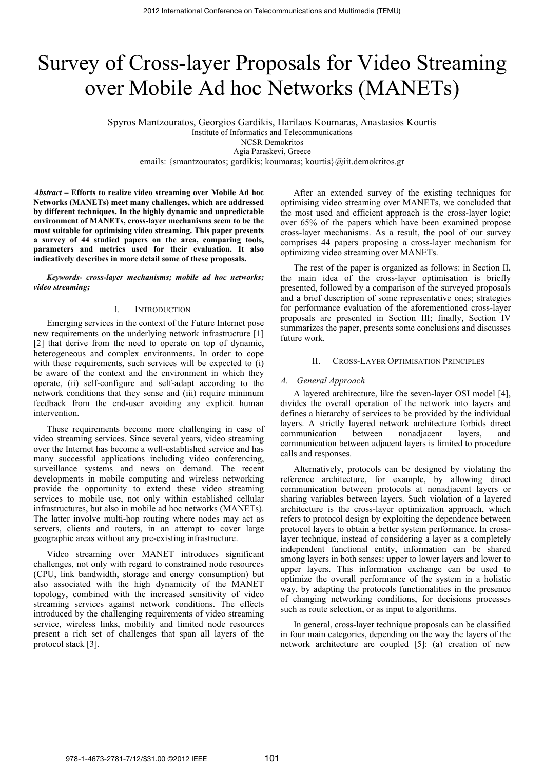# Survey of Cross-layer Proposals for Video Streaming over Mobile Ad hoc Networks (MANETs)

Spyros Mantzouratos, Georgios Gardikis, Harilaos Koumaras, Anastasios Kourtis

Institute of Informatics and Telecommunications

NCSR Demokritos

Agia Paraskevi, Greece emails: {smantzouratos; gardikis; koumaras; kourtis}@iit.demokritos.gr

*Abstract* **– Efforts to realize video streaming over Mobile Ad hoc Networks (MANETs) meet many challenges, which are addressed by different techniques. In the highly dynamic and unpredictable environment of MANETs, cross-layer mechanisms seem to be the most suitable for optimising video streaming. This paper presents a survey of 44 studied papers on the area, comparing tools, parameters and metrics used for their evaluation. It also indicatively describes in more detail some of these proposals.**

*Keywords- cross-layer mechanisms; mobile ad hoc networks; video streaming;* 

# I. INTRODUCTION

Emerging services in the context of the Future Internet pose new requirements on the underlying network infrastructure [1] [2] that derive from the need to operate on top of dynamic, heterogeneous and complex environments. In order to cope with these requirements, such services will be expected to (i) be aware of the context and the environment in which they operate, (ii) self-configure and self-adapt according to the network conditions that they sense and (iii) require minimum feedback from the end-user avoiding any explicit human intervention.

These requirements become more challenging in case of video streaming services. Since several years, video streaming over the Internet has become a well-established service and has many successful applications including video conferencing, surveillance systems and news on demand. The recent developments in mobile computing and wireless networking provide the opportunity to extend these video streaming services to mobile use, not only within established cellular infrastructures, but also in mobile ad hoc networks (MANETs). The latter involve multi-hop routing where nodes may act as servers, clients and routers, in an attempt to cover large geographic areas without any pre-existing infrastructure.

Video streaming over MANET introduces significant challenges, not only with regard to constrained node resources (CPU, link bandwidth, storage and energy consumption) but also associated with the high dynamicity of the MANET topology, combined with the increased sensitivity of video streaming services against network conditions. The effects introduced by the challenging requirements of video streaming service, wireless links, mobility and limited node resources present a rich set of challenges that span all layers of the protocol stack [3].

After an extended survey of the existing techniques for optimising video streaming over MANETs, we concluded that the most used and efficient approach is the cross-layer logic; over 65% of the papers which have been examined propose cross-layer mechanisms. As a result, the pool of our survey comprises 44 papers proposing a cross-layer mechanism for optimizing video streaming over MANETs.

The rest of the paper is organized as follows: in Section II, the main idea of the cross-layer optimisation is briefly presented, followed by a comparison of the surveyed proposals and a brief description of some representative ones; strategies for performance evaluation of the aforementioned cross-layer proposals are presented in Section III; finally, Section IV summarizes the paper, presents some conclusions and discusses future work.

# II. CROSS-LAYER OPTIMISATION PRINCIPLES

# *A. General Approach*

A layered architecture, like the seven-layer OSI model [4], divides the overall operation of the network into layers and defines a hierarchy of services to be provided by the individual layers. A strictly layered network architecture forbids direct communication between nonadjacent layers, and communication between adjacent layers is limited to procedure calls and responses.

Alternatively, protocols can be designed by violating the reference architecture, for example, by allowing direct communication between protocols at nonadjacent layers or sharing variables between layers. Such violation of a layered architecture is the cross-layer optimization approach, which refers to protocol design by exploiting the dependence between protocol layers to obtain a better system performance. In crosslayer technique, instead of considering a layer as a completely independent functional entity, information can be shared among layers in both senses: upper to lower layers and lower to upper layers. This information exchange can be used to optimize the overall performance of the system in a holistic way, by adapting the protocols functionalities in the presence of changing networking conditions, for decisions processes such as route selection, or as input to algorithms.

In general, cross-layer technique proposals can be classified in four main categories, depending on the way the layers of the network architecture are coupled [5]: (a) creation of new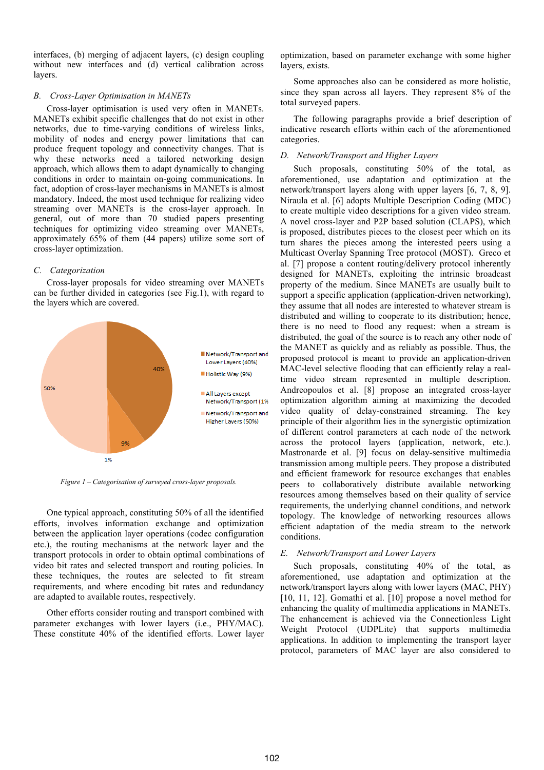interfaces, (b) merging of adjacent layers, (c) design coupling without new interfaces and (d) vertical calibration across layers.

# *B. Cross-Layer Optimisation in MANETs*

Cross-layer optimisation is used very often in MANETs. MANETs exhibit specific challenges that do not exist in other networks, due to time-varying conditions of wireless links, mobility of nodes and energy power limitations that can produce frequent topology and connectivity changes. That is why these networks need a tailored networking design approach, which allows them to adapt dynamically to changing conditions in order to maintain on-going communications. In fact, adoption of cross-layer mechanisms in MANETs is almost mandatory. Indeed, the most used technique for realizing video streaming over MANETs is the cross-layer approach. In general, out of more than 70 studied papers presenting techniques for optimizing video streaming over MANETs, approximately 65% of them (44 papers) utilize some sort of cross-layer optimization.

# *C. Categorization*

Cross-layer proposals for video streaming over MANETs can be further divided in categories (see Fig.1), with regard to the layers which are covered.



*Figure 1 – Categorisation of surveyed cross-layer proposals.*

One typical approach, constituting 50% of all the identified efforts, involves information exchange and optimization between the application layer operations (codec configuration etc.), the routing mechanisms at the network layer and the transport protocols in order to obtain optimal combinations of video bit rates and selected transport and routing policies. In these techniques, the routes are selected to fit stream requirements, and where encoding bit rates and redundancy are adapted to available routes, respectively.

Other efforts consider routing and transport combined with parameter exchanges with lower layers (i.e., PHY/MAC). These constitute 40% of the identified efforts. Lower layer

optimization, based on parameter exchange with some higher layers, exists.

Some approaches also can be considered as more holistic, since they span across all layers. They represent 8% of the total surveyed papers.

The following paragraphs provide a brief description of indicative research efforts within each of the aforementioned categories.

# *D. Network/Transport and Higher Layers*

Such proposals, constituting 50% of the total, as aforementioned, use adaptation and optimization at the network/transport layers along with upper layers [6, 7, 8, 9]. Niraula et al. [6] adopts Multiple Description Coding (MDC) to create multiple video descriptions for a given video stream. A novel cross-layer and P2P based solution (CLAPS), which is proposed, distributes pieces to the closest peer which on its turn shares the pieces among the interested peers using a Multicast Overlay Spanning Tree protocol (MOST). Greco et al. [7] propose a content routing/delivery protocol inherently designed for MANETs, exploiting the intrinsic broadcast property of the medium. Since MANETs are usually built to support a specific application (application-driven networking), they assume that all nodes are interested to whatever stream is distributed and willing to cooperate to its distribution; hence, there is no need to flood any request: when a stream is distributed, the goal of the source is to reach any other node of the MANET as quickly and as reliably as possible. Thus, the proposed protocol is meant to provide an application-driven MAC-level selective flooding that can efficiently relay a realtime video stream represented in multiple description. Andreopoulos et al. [8] propose an integrated cross-layer optimization algorithm aiming at maximizing the decoded video quality of delay-constrained streaming. The key principle of their algorithm lies in the synergistic optimization of different control parameters at each node of the network across the protocol layers (application, network, etc.). Mastronarde et al. [9] focus on delay-sensitive multimedia transmission among multiple peers. They propose a distributed and efficient framework for resource exchanges that enables peers to collaboratively distribute available networking resources among themselves based on their quality of service requirements, the underlying channel conditions, and network topology. The knowledge of networking resources allows efficient adaptation of the media stream to the network conditions.

# *E. Network/Transport and Lower Layers*

Such proposals, constituting 40% of the total, as aforementioned, use adaptation and optimization at the network/transport layers along with lower layers (MAC, PHY) [10, 11, 12]. Gomathi et al. [10] propose a novel method for enhancing the quality of multimedia applications in MANETs. The enhancement is achieved via the Connectionless Light Weight Protocol (UDPLite) that supports multimedia applications. In addition to implementing the transport layer protocol, parameters of MAC layer are also considered to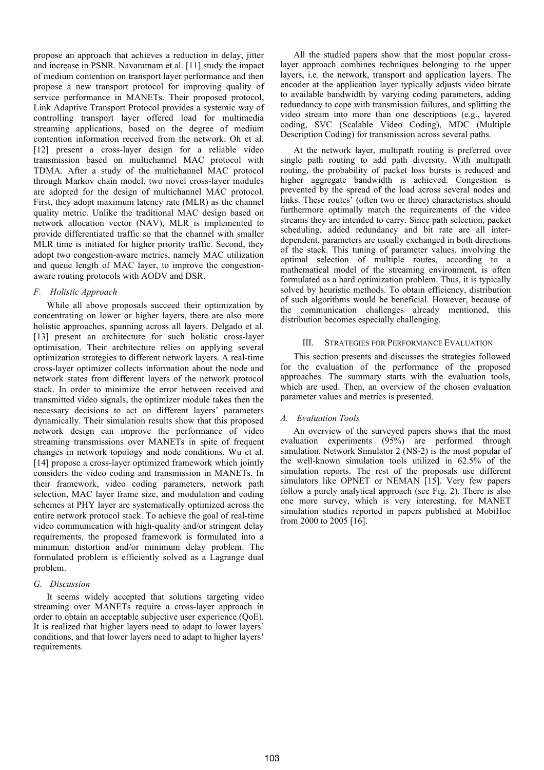propose an approach that achieves a reduction in delay, jitter and increase in PSNR. Navaratnam et al. [11] study the impact of medium contention on transport layer performance and then propose a new transport protocol for improving quality of service performance in MANETs. Their proposed protocol, Link Adaptive Transport Protocol provides a systemic way of controlling transport layer offered load for multimedia streaming applications, based on the degree of medium contention information received from the network. Oh et al. [12] present a cross-layer design for a reliable video transmission based on multichannel MAC protocol with TDMA. After a study of the multichannel MAC protocol through Markov chain model, two novel cross-layer modules are adopted for the design of multichannel MAC protocol. First, they adopt maximum latency rate (MLR) as the channel quality metric. Unlike the traditional MAC design based on network allocation vector (NAV), MLR is implemented to provide differentiated traffic so that the channel with smaller MLR time is initiated for higher priority traffic. Second, they adopt two congestion-aware metrics, namely MAC utilization and queue length of MAC layer, to improve the congestionaware routing protocols with AODV and DSR.

# *F. Holistic Approach*

While all above proposals succeed their optimization by concentrating on lower or higher layers, there are also more holistic approaches, spanning across all layers. Delgado et al. [13] present an architecture for such holistic cross-layer optimisation. Their architecture relies on applying several optimization strategies to different network layers. A real-time cross-layer optimizer collects information about the node and network states from different layers of the network protocol stack. In order to minimize the error between received and transmitted video signals, the optimizer module takes then the necessary decisions to act on different layers' parameters dynamically. Their simulation results show that this proposed network design can improve the performance of video streaming transmissions over MANETs in spite of frequent changes in network topology and node conditions. Wu et al. [14] propose a cross-layer optimized framework which jointly considers the video coding and transmission in MANETs. In their framework, video coding parameters, network path selection, MAC layer frame size, and modulation and coding schemes at PHY layer are systematically optimized across the entire network protocol stack. To achieve the goal of real-time video communication with high-quality and/or stringent delay requirements, the proposed framework is formulated into a minimum distortion and/or minimum delay problem. The formulated problem is efficiently solved as a Lagrange dual problem.

# *G. Discussion*

It seems widely accepted that solutions targeting video streaming over MANETs require a cross-layer approach in order to obtain an acceptable subjective user experience (QoE). It is realized that higher layers need to adapt to lower layers' conditions, and that lower layers need to adapt to higher layers' requirements.

All the studied papers show that the most popular crosslayer approach combines techniques belonging to the upper layers, i.e. the network, transport and application layers. The encoder at the application layer typically adjusts video bitrate to available bandwidth by varying coding parameters, adding redundancy to cope with transmission failures, and splitting the video stream into more than one descriptions (e.g., layered coding, SVC (Scalable Video Coding), MDC (Multiple Description Coding) for transmission across several paths.

At the network layer, multipath routing is preferred over single path routing to add path diversity. With multipath routing, the probability of packet loss bursts is reduced and higher aggregate bandwidth is achieved. Congestion is prevented by the spread of the load across several nodes and links. These routes' (often two or three) characteristics should furthermore optimally match the requirements of the video streams they are intended to carry. Since path selection, packet scheduling, added redundancy and bit rate are all interdependent, parameters are usually exchanged in both directions of the stack. This tuning of parameter values, involving the optimal selection of multiple routes, according to a mathematical model of the streaming environment, is often formulated as a hard optimization problem. Thus, it is typically solved by heuristic methods. To obtain efficiency, distribution of such algorithms would be beneficial. However, because of the communication challenges already mentioned, this distribution becomes especially challenging.

# III. STRATEGIES FOR PERFORMANCE EVALUATION

This section presents and discusses the strategies followed for the evaluation of the performance of the proposed approaches. The summary starts with the evaluation tools, which are used. Then, an overview of the chosen evaluation parameter values and metrics is presented.

# *A. Evaluation Tools*

An overview of the surveyed papers shows that the most evaluation experiments (95%) are performed through simulation. Network Simulator 2 (NS-2) is the most popular of the well-known simulation tools utilized in 62.5% of the simulation reports. The rest of the proposals use different simulators like OPNET or NEMAN [15]. Very few papers follow a purely analytical approach (see Fig. 2). There is also one more survey, which is very interesting, for MANET simulation studies reported in papers published at MobiHoc from 2000 to 2005 [16].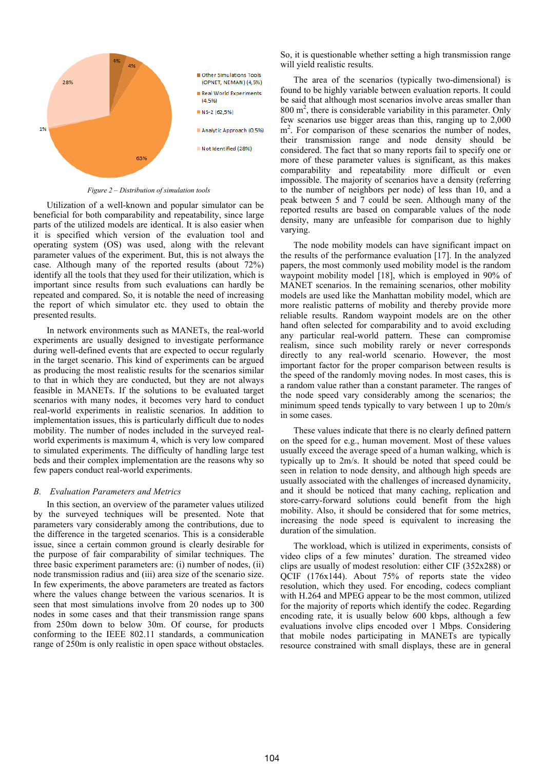

*Figure 2 – Distribution of simulation tools*

Utilization of a well-known and popular simulator can be beneficial for both comparability and repeatability, since large parts of the utilized models are identical. It is also easier when it is specified which version of the evaluation tool and operating system (OS) was used, along with the relevant parameter values of the experiment. But, this is not always the case. Although many of the reported results (about 72%) identify all the tools that they used for their utilization, which is important since results from such evaluations can hardly be repeated and compared. So, it is notable the need of increasing the report of which simulator etc. they used to obtain the presented results.

In network environments such as MANETs, the real-world experiments are usually designed to investigate performance during well-defined events that are expected to occur regularly in the target scenario. This kind of experiments can be argued as producing the most realistic results for the scenarios similar to that in which they are conducted, but they are not always feasible in MANETs. If the solutions to be evaluated target scenarios with many nodes, it becomes very hard to conduct real-world experiments in realistic scenarios. In addition to implementation issues, this is particularly difficult due to nodes mobility. The number of nodes included in the surveyed realworld experiments is maximum 4, which is very low compared to simulated experiments. The difficulty of handling large test beds and their complex implementation are the reasons why so few papers conduct real-world experiments.

# *B. Evaluation Parameters and Metrics*

In this section, an overview of the parameter values utilized by the surveyed techniques will be presented. Note that parameters vary considerably among the contributions, due to the difference in the targeted scenarios. This is a considerable issue, since a certain common ground is clearly desirable for the purpose of fair comparability of similar techniques. The three basic experiment parameters are: (i) number of nodes, (ii) node transmission radius and (iii) area size of the scenario size. In few experiments, the above parameters are treated as factors where the values change between the various scenarios. It is seen that most simulations involve from 20 nodes up to 300 nodes in some cases and that their transmission range spans from 250m down to below 30m. Of course, for products conforming to the IEEE 802.11 standards, a communication range of 250m is only realistic in open space without obstacles.

So, it is questionable whether setting a high transmission range will yield realistic results.

The area of the scenarios (typically two-dimensional) is found to be highly variable between evaluation reports. It could be said that although most scenarios involve areas smaller than 800 m<sup>2</sup>, there is considerable variability in this parameter. Only few scenarios use bigger areas than this, ranging up to 2,000 m<sup>2</sup>. For comparison of these scenarios the number of nodes, their transmission range and node density should be considered. The fact that so many reports fail to specify one or more of these parameter values is significant, as this makes comparability and repeatability more difficult or even impossible. The majority of scenarios have a density (referring to the number of neighbors per node) of less than 10, and a peak between 5 and 7 could be seen. Although many of the reported results are based on comparable values of the node density, many are unfeasible for comparison due to highly varying.

The node mobility models can have significant impact on the results of the performance evaluation [17]. In the analyzed papers, the most commonly used mobility model is the random waypoint mobility model [18], which is employed in 90% of MANET scenarios. In the remaining scenarios, other mobility models are used like the Manhattan mobility model, which are more realistic patterns of mobility and thereby provide more reliable results. Random waypoint models are on the other hand often selected for comparability and to avoid excluding any particular real-world pattern. These can compromise realism, since such mobility rarely or never corresponds directly to any real-world scenario. However, the most important factor for the proper comparison between results is the speed of the randomly moving nodes. In most cases, this is a random value rather than a constant parameter. The ranges of the node speed vary considerably among the scenarios; the minimum speed tends typically to vary between 1 up to 20m/s in some cases.

These values indicate that there is no clearly defined pattern on the speed for e.g., human movement. Most of these values usually exceed the average speed of a human walking, which is typically up to 2m/s. It should be noted that speed could be seen in relation to node density, and although high speeds are usually associated with the challenges of increased dynamicity, and it should be noticed that many caching, replication and store-carry-forward solutions could benefit from the high mobility. Also, it should be considered that for some metrics, increasing the node speed is equivalent to increasing the duration of the simulation.

The workload, which is utilized in experiments, consists of video clips of a few minutes' duration. The streamed video clips are usually of modest resolution: either CIF (352x288) or QCIF (176x144). About 75% of reports state the video resolution, which they used. For encoding, codecs compliant with H.264 and MPEG appear to be the most common, utilized for the majority of reports which identify the codec. Regarding encoding rate, it is usually below 600 kbps, although a few evaluations involve clips encoded over 1 Mbps. Considering that mobile nodes participating in MANETs are typically resource constrained with small displays, these are in general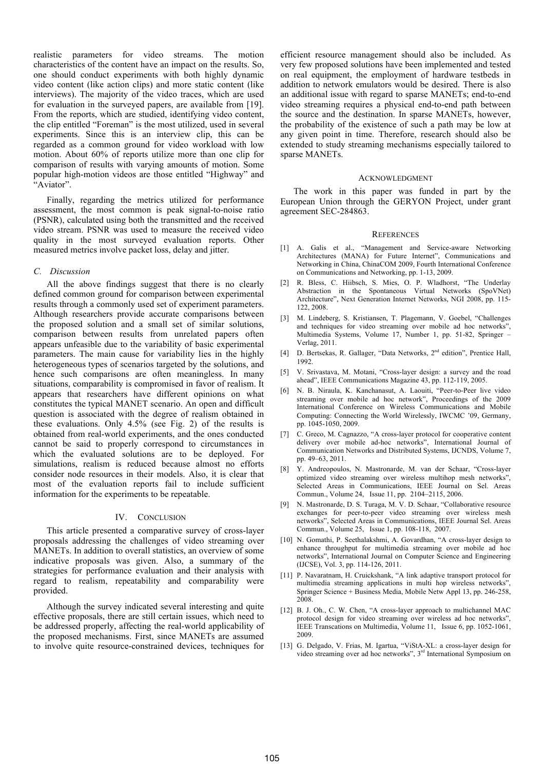realistic parameters for video streams. The motion characteristics of the content have an impact on the results. So, one should conduct experiments with both highly dynamic video content (like action clips) and more static content (like interviews). The majority of the video traces, which are used for evaluation in the surveyed papers, are available from [19]. From the reports, which are studied, identifying video content, the clip entitled "Foreman" is the most utilized, used in several experiments. Since this is an interview clip, this can be regarded as a common ground for video workload with low motion. About 60% of reports utilize more than one clip for comparison of results with varying amounts of motion. Some popular high-motion videos are those entitled "Highway" and "Aviator".

Finally, regarding the metrics utilized for performance assessment, the most common is peak signal-to-noise ratio (PSNR), calculated using both the transmitted and the received video stream. PSNR was used to measure the received video quality in the most surveyed evaluation reports. Other measured metrics involve packet loss, delay and jitter.

# *C. Discussion*

All the above findings suggest that there is no clearly defined common ground for comparison between experimental results through a commonly used set of experiment parameters. Although researchers provide accurate comparisons between the proposed solution and a small set of similar solutions, comparison between results from unrelated papers often appears unfeasible due to the variability of basic experimental parameters. The main cause for variability lies in the highly heterogeneous types of scenarios targeted by the solutions, and hence such comparisons are often meaningless. In many situations, comparability is compromised in favor of realism. It appears that researchers have different opinions on what constitutes the typical MANET scenario. An open and difficult question is associated with the degree of realism obtained in these evaluations. Only 4.5% (see Fig. 2) of the results is obtained from real-world experiments, and the ones conducted cannot be said to properly correspond to circumstances in which the evaluated solutions are to be deployed. For simulations, realism is reduced because almost no efforts consider node resources in their models. Also, it is clear that most of the evaluation reports fail to include sufficient information for the experiments to be repeatable.

### IV. CONCLUSION

This article presented a comparative survey of cross-layer proposals addressing the challenges of video streaming over MANETs. In addition to overall statistics, an overview of some indicative proposals was given. Also, a summary of the strategies for performance evaluation and their analysis with regard to realism, repeatability and comparability were provided.

Although the survey indicated several interesting and quite effective proposals, there are still certain issues, which need to be addressed properly, affecting the real-world applicability of the proposed mechanisms. First, since MANETs are assumed to involve quite resource-constrained devices, techniques for efficient resource management should also be included. As very few proposed solutions have been implemented and tested on real equipment, the employment of hardware testbeds in addition to network emulators would be desired. There is also an additional issue with regard to sparse MANETs; end-to-end video streaming requires a physical end-to-end path between the source and the destination. In sparse MANETs, however, the probability of the existence of such a path may be low at any given point in time. Therefore, research should also be extended to study streaming mechanisms especially tailored to sparse MANETs.

#### ACKNOWLEDGMENT

The work in this paper was funded in part by the European Union through the GERYON Project, under grant agreement SEC-284863.

#### **REFERENCES**

- [1] A. Galis et al., "Management and Service-aware Networking Architectures (MANA) for Future Internet", Communications and Networking in China, ChinaCOM 2009, Fourth International Conference on Communications and Networking, pp. 1-13, 2009.
- [2] R. Bless, C. Hiibsch, S. Mies, O. P. Wladhorst, "The Underlay Abstraction in the Spontaneous Virtual Networks (SpoVNet) Architecture", Next Generation Internet Networks, NGI 2008, pp. 115- 122, 2008.
- [3] M. Lindeberg, S. Kristiansen, T. Plagemann, V. Goebel, "Challenges and techniques for video streaming over mobile ad hoc networks", Multimedia Systems, Volume 17, Number 1, pp. 51-82, Springer – Verlag, 2011.
- [4] D. Bertsekas, R. Gallager, "Data Networks, 2nd edition", Prentice Hall, 1992.
- [5] V. Srivastava, M. Motani, "Cross-layer design: a survey and the road ahead", IEEE Communications Magazine 43, pp. 112-119, 2005.
- [6] N. B. Niraula, K. Kanchanasut, A. Laouiti, "Peer-to-Peer live video streaming over mobile ad hoc network", Proceedings of the 2009 International Conference on Wireless Communications and Mobile Computing: Connecting the World Wirelessly, IWCMC '09, Germany, pp. 1045-1050, 2009.
- [7] C. Greco, M. Cagnazzo, "A cross-layer protocol for cooperative content delivery over mobile ad-hoc networks", International Journal of Communication Networks and Distributed Systems, IJCNDS, Volume 7, pp. 49–63, 2011.
- [8] Y. Andreopoulos, N. Mastronarde, M. van der Schaar, "Cross-layer optimized video streaming over wireless multihop mesh networks", Selected Areas in Communications, IEEE Journal on Sel. Areas Commun., Volume 24, Issue 11, pp. 2104–2115, 2006.
- [9] N. Mastronarde, D. S. Turaga, M. V. D. Schaar, "Collaborative resource exchanges for peer-to-peer video streaming over wireless mesh networks", Selected Areas in Communications, IEEE Journal Sel. Areas Commun., Volume 25, Issue 1, pp. 108-118, 2007.
- [10] N. Gomathi, P. Seethalakshmi, A. Govardhan, "A cross-layer design to enhance throughput for multimedia streaming over mobile ad hoc networks", International Journal on Computer Science and Engineering (IJCSE), Vol. 3, pp. 114-126, 2011.
- [11] P. Navaratnam, H. Cruickshank, "A link adaptive transport protocol for multimedia streaming applications in multi hop wireless networks", Springer Science + Business Media, Mobile Netw Appl 13, pp. 246-258, 2008.
- [12] B. J. Oh., C. W. Chen, "A cross-layer approach to multichannel MAC protocol design for video streaming over wireless ad hoc networks", IEEE Transcations on Multimedia, Volume 11, Issue 6, pp. 1052-1061, 2009.
- [13] G. Delgado, V. Frias, M. Igartua, "ViStA-XL: a cross-layer design for video streaming over ad hoc networks", 3<sup>rd</sup> International Symposium on